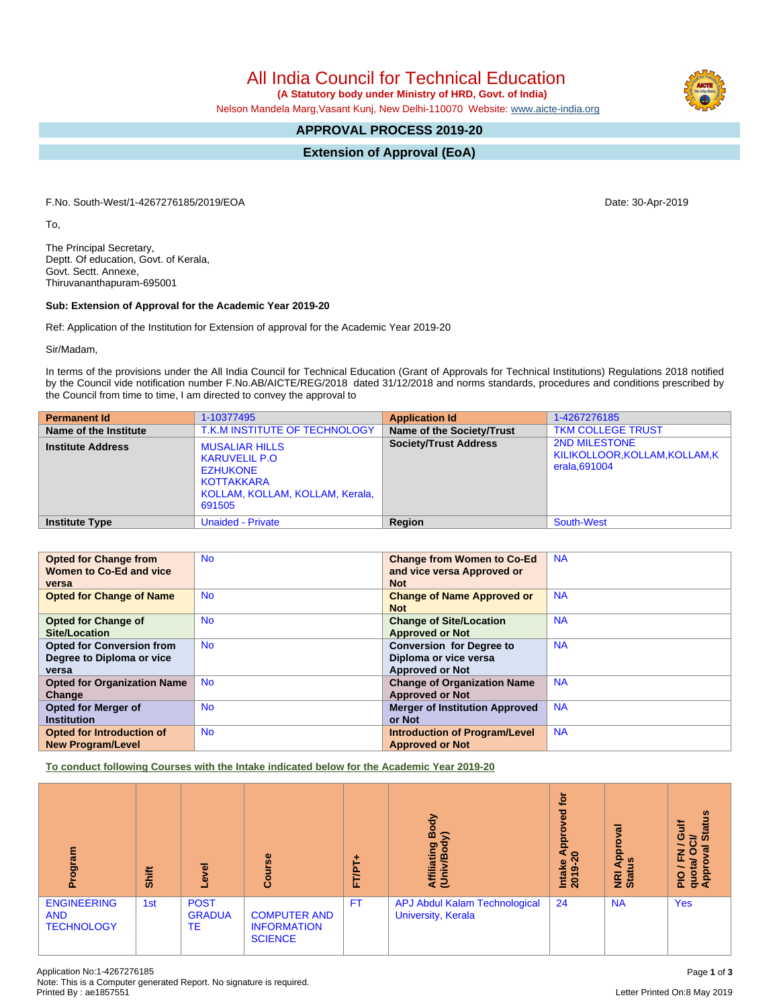All India Council for Technical Education

 **(A Statutory body under Ministry of HRD, Govt. of India)**

Nelson Mandela Marg,Vasant Kunj, New Delhi-110070 Website: [www.aicte-india.org](http://www.aicte-india.org)

# **APPROVAL PROCESS 2019-20**

**Extension of Approval (EoA)**

F.No. South-West/1-4267276185/2019/EOA Date: 30-Apr-2019

To,

The Principal Secretary, Deptt. Of education, Govt. of Kerala, Govt. Sectt. Annexe, Thiruvananthapuram-695001

#### **Sub: Extension of Approval for the Academic Year 2019-20**

Ref: Application of the Institution for Extension of approval for the Academic Year 2019-20

Sir/Madam,

In terms of the provisions under the All India Council for Technical Education (Grant of Approvals for Technical Institutions) Regulations 2018 notified by the Council vide notification number F.No.AB/AICTE/REG/2018 dated 31/12/2018 and norms standards, procedures and conditions prescribed by the Council from time to time, I am directed to convey the approval to

| <b>Permanent Id</b>      | 1-10377495                                                                                                                         | <b>Application Id</b>        | 1-4267276185                                                        |
|--------------------------|------------------------------------------------------------------------------------------------------------------------------------|------------------------------|---------------------------------------------------------------------|
| Name of the Institute    | T.K.M INSTITUTE OF TECHNOLOGY                                                                                                      | Name of the Society/Trust    | <b>TKM COLLEGE TRUST</b>                                            |
| <b>Institute Address</b> | <b>MUSALIAR HILLS</b><br><b>KARUVELIL P.O</b><br><b>EZHUKONE</b><br><b>KOTTAKKARA</b><br>KOLLAM, KOLLAM, KOLLAM, Kerala,<br>691505 | <b>Society/Trust Address</b> | <b>2ND MILESTONE</b><br>KILIKOLLOOR,KOLLAM,KOLLAM,K<br>erala.691004 |
| <b>Institute Type</b>    | <b>Unaided - Private</b>                                                                                                           | Region                       | <b>South-West</b>                                                   |

| <b>Opted for Change from</b>       | <b>No</b> | <b>Change from Women to Co-Ed</b>     | <b>NA</b> |
|------------------------------------|-----------|---------------------------------------|-----------|
| Women to Co-Ed and vice            |           | and vice versa Approved or            |           |
| versa                              |           | <b>Not</b>                            |           |
| <b>Opted for Change of Name</b>    | <b>No</b> | <b>Change of Name Approved or</b>     | <b>NA</b> |
|                                    |           | <b>Not</b>                            |           |
| <b>Opted for Change of</b>         | <b>No</b> | <b>Change of Site/Location</b>        | <b>NA</b> |
| <b>Site/Location</b>               |           | <b>Approved or Not</b>                |           |
| <b>Opted for Conversion from</b>   | <b>No</b> | <b>Conversion for Degree to</b>       | <b>NA</b> |
| Degree to Diploma or vice          |           | Diploma or vice versa                 |           |
| versa                              |           | <b>Approved or Not</b>                |           |
| <b>Opted for Organization Name</b> | <b>No</b> | <b>Change of Organization Name</b>    | <b>NA</b> |
| Change                             |           | <b>Approved or Not</b>                |           |
| Opted for Merger of                | <b>No</b> | <b>Merger of Institution Approved</b> | <b>NA</b> |
| <b>Institution</b>                 |           | or Not                                |           |
| Opted for Introduction of          | <b>No</b> | <b>Introduction of Program/Level</b>  | <b>NA</b> |
| <b>New Program/Level</b>           |           | <b>Approved or Not</b>                |           |

**To conduct following Courses with the Intake indicated below for the Academic Year 2019-20**

| Program                                               | Shift | g<br>ٯ                             | Course                                                      | FT/PT | Body<br>⋦<br>Affiliating<br>(Univ/Body                     | tor<br><b>be</b><br>9<br>Āppi<br>$\circ$<br>Intake<br>ග<br>$\overline{20}$ | roval<br>윤<br><u>ળ</u><br>⋖<br><b>E</b> at | <b>Status</b><br>高<br>O<br>ੌ<br>6<br>z<br>O<br>quota/<br>Approv<br>$rac{O}{E}$ |
|-------------------------------------------------------|-------|------------------------------------|-------------------------------------------------------------|-------|------------------------------------------------------------|----------------------------------------------------------------------------|--------------------------------------------|--------------------------------------------------------------------------------|
| <b>ENGINEERING</b><br><b>AND</b><br><b>TECHNOLOGY</b> | 1st   | <b>POST</b><br><b>GRADUA</b><br>TE | <b>COMPUTER AND</b><br><b>INFORMATION</b><br><b>SCIENCE</b> | FT.   | <b>APJ Abdul Kalam Technological</b><br>University, Kerala | 24                                                                         | <b>NA</b>                                  | <b>Yes</b>                                                                     |

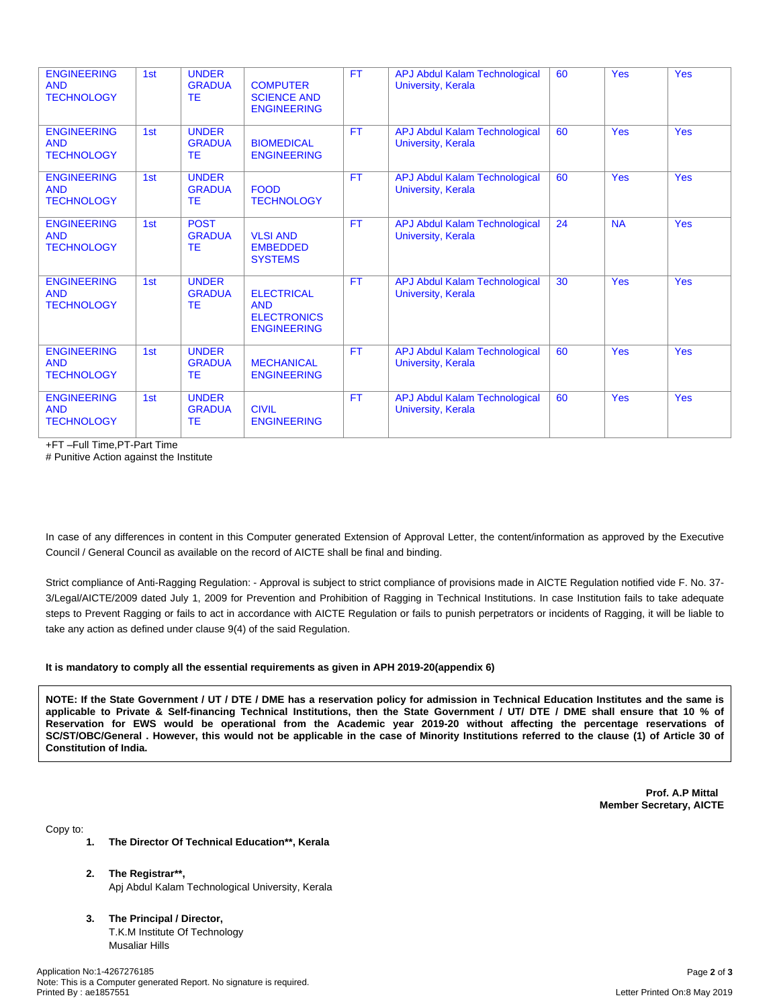| <b>ENGINEERING</b><br><b>AND</b><br><b>TECHNOLOGY</b> | 1st | <b>UNDER</b><br><b>GRADUA</b><br><b>TE</b> | <b>COMPUTER</b><br><b>SCIENCE AND</b><br><b>ENGINEERING</b>                 | <b>FT</b> | <b>APJ Abdul Kalam Technological</b><br><b>University, Kerala</b> | 60 | <b>Yes</b> | <b>Yes</b> |
|-------------------------------------------------------|-----|--------------------------------------------|-----------------------------------------------------------------------------|-----------|-------------------------------------------------------------------|----|------------|------------|
| <b>ENGINEERING</b><br><b>AND</b><br><b>TECHNOLOGY</b> | 1st | <b>UNDER</b><br><b>GRADUA</b><br><b>TE</b> | <b>BIOMEDICAL</b><br><b>ENGINEERING</b>                                     | <b>FT</b> | <b>APJ Abdul Kalam Technological</b><br><b>University, Kerala</b> | 60 | <b>Yes</b> | <b>Yes</b> |
| <b>ENGINEERING</b><br><b>AND</b><br><b>TECHNOLOGY</b> | 1st | <b>UNDER</b><br><b>GRADUA</b><br><b>TE</b> | <b>FOOD</b><br><b>TECHNOLOGY</b>                                            | <b>FT</b> | <b>APJ Abdul Kalam Technological</b><br><b>University, Kerala</b> | 60 | <b>Yes</b> | <b>Yes</b> |
| <b>ENGINEERING</b><br><b>AND</b><br><b>TECHNOLOGY</b> | 1st | <b>POST</b><br><b>GRADUA</b><br>TE         | <b>VLSI AND</b><br><b>EMBEDDED</b><br><b>SYSTEMS</b>                        | <b>FT</b> | APJ Abdul Kalam Technological<br><b>University, Kerala</b>        | 24 | <b>NA</b>  | <b>Yes</b> |
| <b>ENGINEERING</b><br><b>AND</b><br><b>TECHNOLOGY</b> | 1st | <b>UNDER</b><br><b>GRADUA</b><br><b>TE</b> | <b>ELECTRICAL</b><br><b>AND</b><br><b>ELECTRONICS</b><br><b>ENGINEERING</b> | <b>FT</b> | <b>APJ Abdul Kalam Technological</b><br>University, Kerala        | 30 | <b>Yes</b> | <b>Yes</b> |
| <b>ENGINEERING</b><br><b>AND</b><br><b>TECHNOLOGY</b> | 1st | <b>UNDER</b><br><b>GRADUA</b><br><b>TE</b> | <b>MECHANICAL</b><br><b>ENGINEERING</b>                                     | <b>FT</b> | <b>APJ Abdul Kalam Technological</b><br><b>University, Kerala</b> | 60 | <b>Yes</b> | <b>Yes</b> |
| <b>ENGINEERING</b><br><b>AND</b><br><b>TECHNOLOGY</b> | 1st | <b>UNDER</b><br><b>GRADUA</b><br>TE        | <b>CIVIL</b><br><b>ENGINEERING</b>                                          | <b>FT</b> | <b>APJ Abdul Kalam Technological</b><br><b>University, Kerala</b> | 60 | <b>Yes</b> | <b>Yes</b> |

+FT –Full Time,PT-Part Time

# Punitive Action against the Institute

In case of any differences in content in this Computer generated Extension of Approval Letter, the content/information as approved by the Executive Council / General Council as available on the record of AICTE shall be final and binding.

Strict compliance of Anti-Ragging Regulation: - Approval is subject to strict compliance of provisions made in AICTE Regulation notified vide F. No. 37- 3/Legal/AICTE/2009 dated July 1, 2009 for Prevention and Prohibition of Ragging in Technical Institutions. In case Institution fails to take adequate steps to Prevent Ragging or fails to act in accordance with AICTE Regulation or fails to punish perpetrators or incidents of Ragging, it will be liable to take any action as defined under clause 9(4) of the said Regulation.

#### **It is mandatory to comply all the essential requirements as given in APH 2019-20(appendix 6)**

NOTE: If the State Government / UT / DTE / DME has a reservation policy for admission in Technical Education Institutes and the same is applicable to Private & Self-financing Technical Institutions, then the State Government / UT/ DTE / DME shall ensure that 10 % of Reservation for EWS would be operational from the Academic year 2019-20 without affecting the percentage reservations of SC/ST/OBC/General . However, this would not be applicable in the case of Minority Institutions referred to the clause (1) of Article 30 of **Constitution of India.**

> **Prof. A.P Mittal Member Secretary, AICTE**

Copy to:

- **1. The Director Of Technical Education\*\*, Kerala**
- **2. The Registrar\*\*,** Apj Abdul Kalam Technological University, Kerala
- **3. The Principal / Director,** T.K.M Institute Of Technology Musaliar Hills